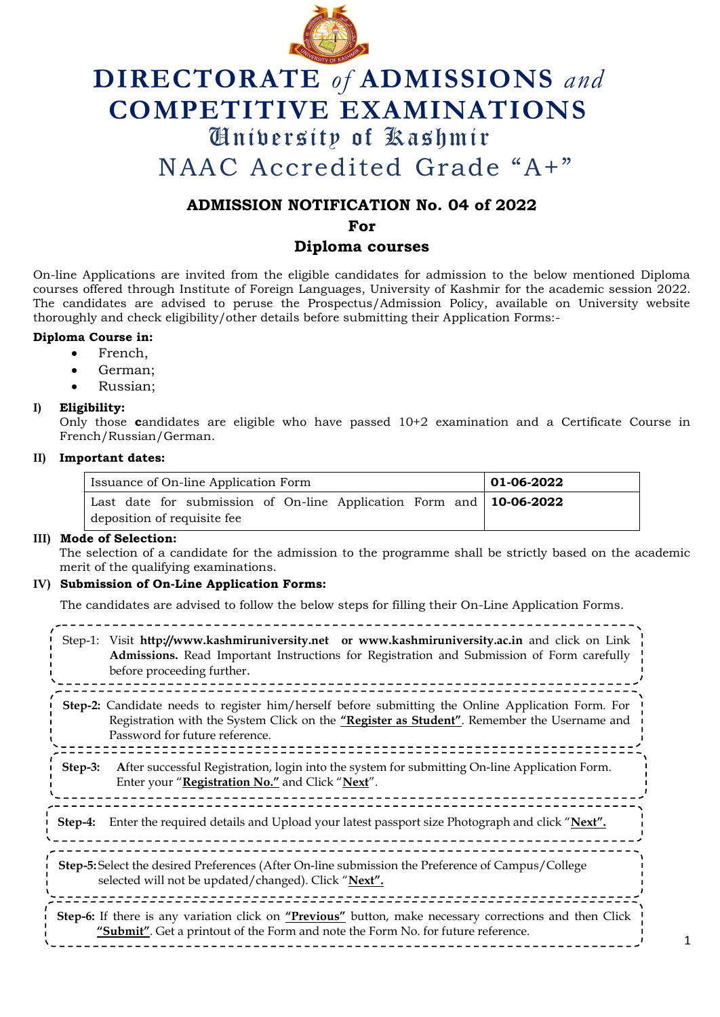

# **DIRECTORATE** *of* **ADMISSIONS** *and* **COMPETITIVE EXAMINATIONS** University of Kashmir NAAC Accredited Grade "A+"

## **ADMISSION NOTIFICATION No. 04 of 2022**

**For** 

### **Diploma courses**

On-line Applications are invited from the eligible candidates for admission to the below mentioned Diploma courses offered through Institute of Foreign Languages, University of Kashmir for the academic session 2022. The candidates are advised to peruse the Prospectus/Admission Policy, available on University website thoroughly and check eligibility/other details before submitting their Application Forms:-

#### **Diploma Course in:**

- French,
- German;
- Russian;

#### **I) Eligibility:**

Only those **c**andidates are eligible who have passed 10+2 examination and a Certificate Course in French/Russian/German.

#### **II) Important dates:**

| Issuance of On-line Application Form                                                                       | 01-06-2022 |
|------------------------------------------------------------------------------------------------------------|------------|
| Last date for submission of On-line Application Form and $\vert$ 10-06-2022<br>deposition of requisite fee |            |

#### **III) Mode of Selection:**

The selection of a candidate for the admission to the programme shall be strictly based on the academic merit of the qualifying examinations.

#### **IV) Submission of On-Line Application Forms:**

The candidates are advised to follow the below steps for filling their On-Line Application Forms.

| Step-1: Visit http://www.kashmiruniversity.net or www.kashmiruniversity.ac.in and click on Link<br>Admissions. Read Important Instructions for Registration and Submission of Form carefully<br>before proceeding further.         |  |
|------------------------------------------------------------------------------------------------------------------------------------------------------------------------------------------------------------------------------------|--|
| Step-2: Candidate needs to register him/herself before submitting the Online Application Form. For<br>Registration with the System Click on the "Register as Student". Remember the Username and<br>Password for future reference. |  |
| After successful Registration, login into the system for submitting On-line Application Form.<br>Step-3:<br>Enter your "Registration No." and Click "Next".                                                                        |  |
| Enter the required details and Upload your latest passport size Photograph and click "Next".<br>Step-4:                                                                                                                            |  |
| Step-5: Select the desired Preferences (After On-line submission the Preference of Campus/College<br>selected will not be updated/changed). Click "Next".                                                                          |  |
| <b>Step-6:</b> If there is any variation click on " <b>Previous</b> " button, make necessary corrections and then Click<br>"Submit". Get a printout of the Form and note the Form No. for future reference.                        |  |